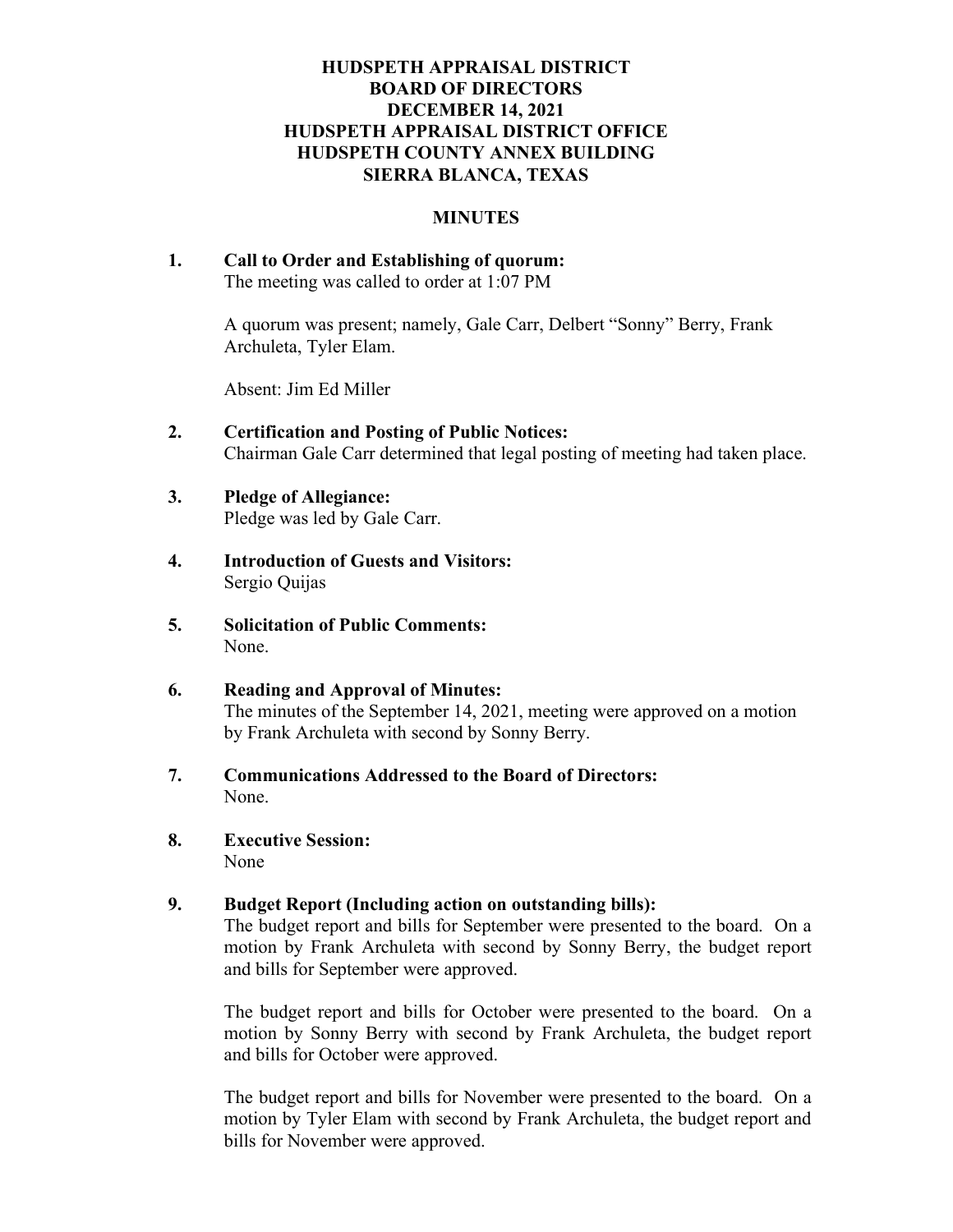# HUDSPETH APPRAISAL DISTRICT BOARD OF DIRECTORS DECEMBER 14, 2021 HUDSPETH APPRAISAL DISTRICT OFFICE HUDSPETH COUNTY ANNEX BUILDING SIERRA BLANCA, TEXAS

#### MINUTES

1. Call to Order and Establishing of quorum: The meeting was called to order at 1:07 PM

> A quorum was present; namely, Gale Carr, Delbert "Sonny" Berry, Frank Archuleta, Tyler Elam.

Absent: Jim Ed Miller

- 2. Certification and Posting of Public Notices: Chairman Gale Carr determined that legal posting of meeting had taken place.
- 3. Pledge of Allegiance: Pledge was led by Gale Carr.
- 4. Introduction of Guests and Visitors: Sergio Quijas
- 5. Solicitation of Public Comments: None.
- 6. Reading and Approval of Minutes: The minutes of the September 14, 2021, meeting were approved on a motion by Frank Archuleta with second by Sonny Berry.
- 7. Communications Addressed to the Board of Directors: None.
- 8. Executive Session: None

### 9. Budget Report (Including action on outstanding bills):

The budget report and bills for September were presented to the board. On a motion by Frank Archuleta with second by Sonny Berry, the budget report and bills for September were approved.

The budget report and bills for October were presented to the board. On a motion by Sonny Berry with second by Frank Archuleta, the budget report and bills for October were approved.

The budget report and bills for November were presented to the board. On a motion by Tyler Elam with second by Frank Archuleta, the budget report and bills for November were approved.